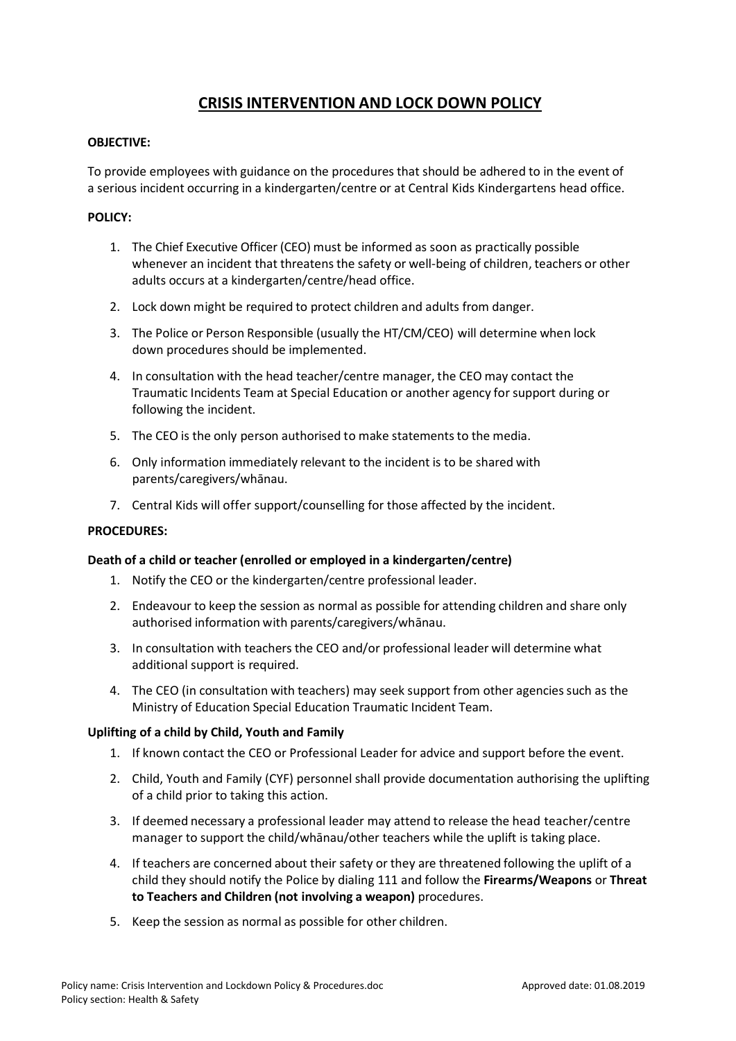# **CRISIS INTERVENTION AND LOCK DOWN POLICY**

## **OBJECTIVE:**

To provide employees with guidance on the procedures that should be adhered to in the event of a serious incident occurring in a kindergarten/centre or at Central Kids Kindergartens head office.

## **POLICY:**

- 1. The Chief Executive Officer (CEO) must be informed as soon as practically possible whenever an incident that threatens the safety or well-being of children, teachers or other adults occurs at a kindergarten/centre/head office.
- 2. Lock down might be required to protect children and adults from danger.
- 3. The Police or Person Responsible (usually the HT/CM/CEO) will determine when lock down procedures should be implemented.
- 4. In consultation with the head teacher/centre manager, the CEO may contact the Traumatic Incidents Team at Special Education or another agency forsupport during or following the incident.
- 5. The CEO is the only person authorised to make statements to the media.
- 6. Only information immediately relevant to the incident is to be shared with parents/caregivers/whānau.
- 7. Central Kids will offer support/counselling for those affected by the incident.

## **PROCEDURES:**

## **Death of a child or teacher (enrolled or employed in a kindergarten/centre)**

- 1. Notify the CEO or the kindergarten/centre professional leader.
- 2. Endeavour to keep the session as normal as possible for attending children and share only authorised information with parents/caregivers/whānau.
- 3. In consultation with teachers the CEO and/or professional leader will determine what additional support is required.
- 4. The CEO (in consultation with teachers) may seek support from other agenciessuch as the Ministry of Education Special Education Traumatic Incident Team.

## **Uplifting of a child by Child, Youth and Family**

- 1. If known contact the CEO or Professional Leader for advice and support before the event.
- 2. Child, Youth and Family (CYF) personnel shall provide documentation authorising the uplifting of a child prior to taking this action.
- 3. If deemed necessary a professional leader may attend to release the head teacher/centre manager to support the child/whānau/other teachers while the uplift is taking place.
- 4. If teachers are concerned about their safety or they are threatened following the uplift of a child they should notify the Police by dialing 111 and follow the **Firearms/Weapons** or **Threat to Teachers and Children (not involving a weapon)** procedures.
- 5. Keep the session as normal as possible for other children.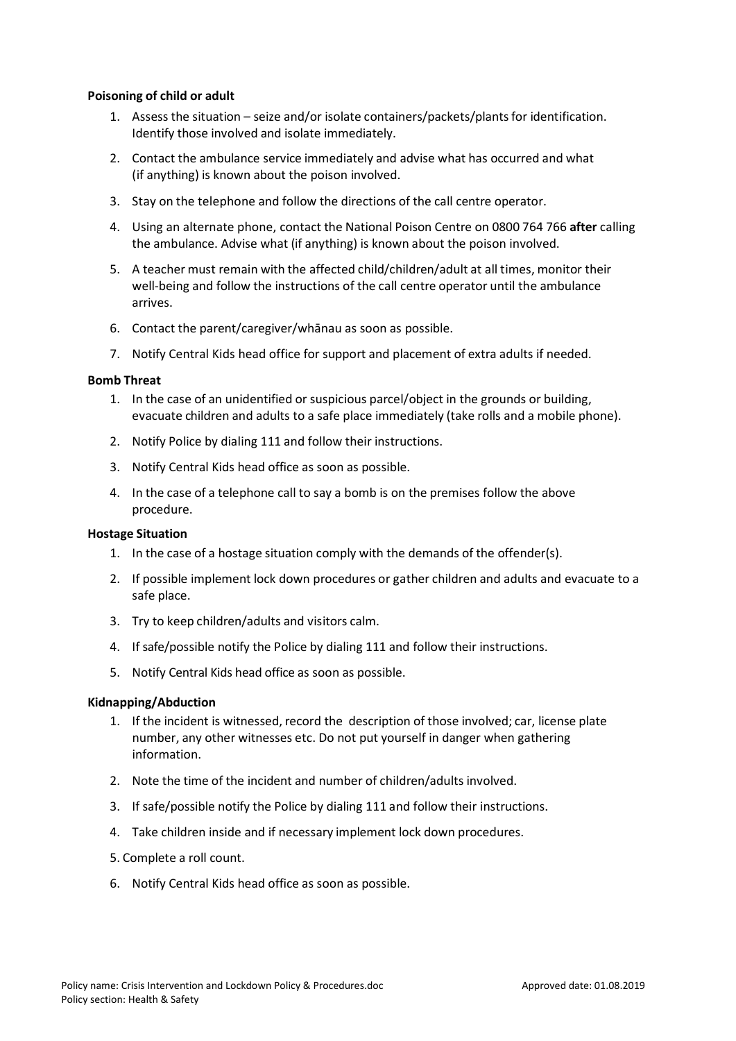### **Poisoning of child or adult**

- 1. Assess the situation seize and/or isolate containers/packets/plantsfor identification. Identify those involved and isolate immediately.
- 2. Contact the ambulance service immediately and advise what has occurred and what (if anything) is known about the poison involved.
- 3. Stay on the telephone and follow the directions of the call centre operator.
- 4. Using an alternate phone, contact the National Poison Centre on 0800 764 766 **after** calling the ambulance. Advise what (if anything) is known about the poison involved.
- 5. A teacher must remain with the affected child/children/adult at all times, monitor their well-being and follow the instructions of the call centre operator until the ambulance arrives.
- 6. Contact the parent/caregiver/whānau as soon as possible.
- 7. Notify Central Kids head office for support and placement of extra adults if needed.

#### **Bomb Threat**

- 1. In the case of an unidentified or suspicious parcel/object in the grounds or building, evacuate children and adults to a safe place immediately (take rolls and a mobile phone).
- 2. Notify Police by dialing 111 and follow their instructions.
- 3. Notify Central Kids head office as soon as possible.
- 4. In the case of a telephone call to say a bomb is on the premises follow the above procedure.

#### **Hostage Situation**

- 1. In the case of a hostage situation comply with the demands of the offender(s).
- 2. If possible implement lock down procedures or gather children and adults and evacuate to a safe place.
- 3. Try to keep children/adults and visitors calm.
- 4. If safe/possible notify the Police by dialing 111 and follow their instructions.
- 5. Notify Central Kids head office as soon as possible.

#### **Kidnapping/Abduction**

- 1. If the incident is witnessed, record the description of those involved; car, license plate number, any other witnesses etc. Do not put yourself in danger when gathering information.
- 2. Note the time of the incident and number of children/adults involved.
- 3. If safe/possible notify the Police by dialing 111 and follow their instructions.
- 4. Take children inside and if necessary implement lock down procedures.
- 5. Complete a roll count.
- 6. Notify Central Kids head office as soon as possible.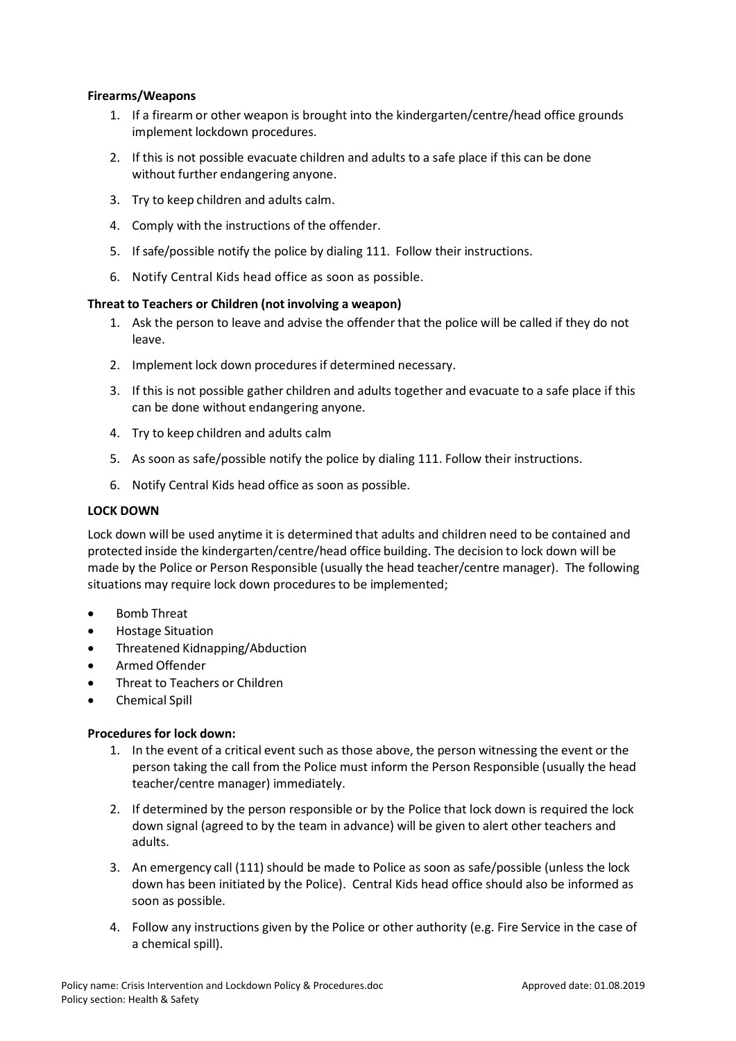## **Firearms/Weapons**

- 1. If a firearm or other weapon is brought into the kindergarten/centre/head office grounds implement lockdown procedures.
- 2. If this is not possible evacuate children and adults to a safe place if this can be done without further endangering anyone.
- 3. Try to keep children and adults calm.
- 4. Comply with the instructions of the offender.
- 5. If safe/possible notify the police by dialing 111. Follow their instructions.
- 6. Notify Central Kids head office as soon as possible.

## **Threat to Teachers or Children (not involving a weapon)**

- 1. Ask the person to leave and advise the offender that the police will be called if they do not leave.
- 2. Implement lock down procedures if determined necessary.
- 3. If this is not possible gather children and adults together and evacuate to a safe place if this can be done without endangering anyone.
- 4. Try to keep children and adults calm
- 5. As soon as safe/possible notify the police by dialing 111. Follow their instructions.
- 6. Notify Central Kids head office as soon as possible.

## **LOCK DOWN**

Lock down will be used anytime it is determined that adults and children need to be contained and protected inside the kindergarten/centre/head office building. The decision to lock down will be made by the Police or Person Responsible (usually the head teacher/centre manager). The following situations may require lock down procedures to be implemented;

- Bomb Threat
- Hostage Situation
- Threatened Kidnapping/Abduction
- Armed Offender
- Threat to Teachers or Children
- Chemical Spill

## **Procedures for lock down:**

- 1. In the event of a critical event such as those above, the person witnessing the event or the person taking the call from the Police must inform the Person Responsible (usually the head teacher/centre manager) immediately.
- 2. If determined by the person responsible or by the Police that lock down is required the lock down signal (agreed to by the team in advance) will be given to alert other teachers and adults.
- 3. An emergency call (111) should be made to Police as soon as safe/possible (unless the lock down has been initiated by the Police). Central Kids head office should also be informed as soon as possible.
- 4. Follow any instructions given by the Police or other authority (e.g. Fire Service in the case of a chemical spill).